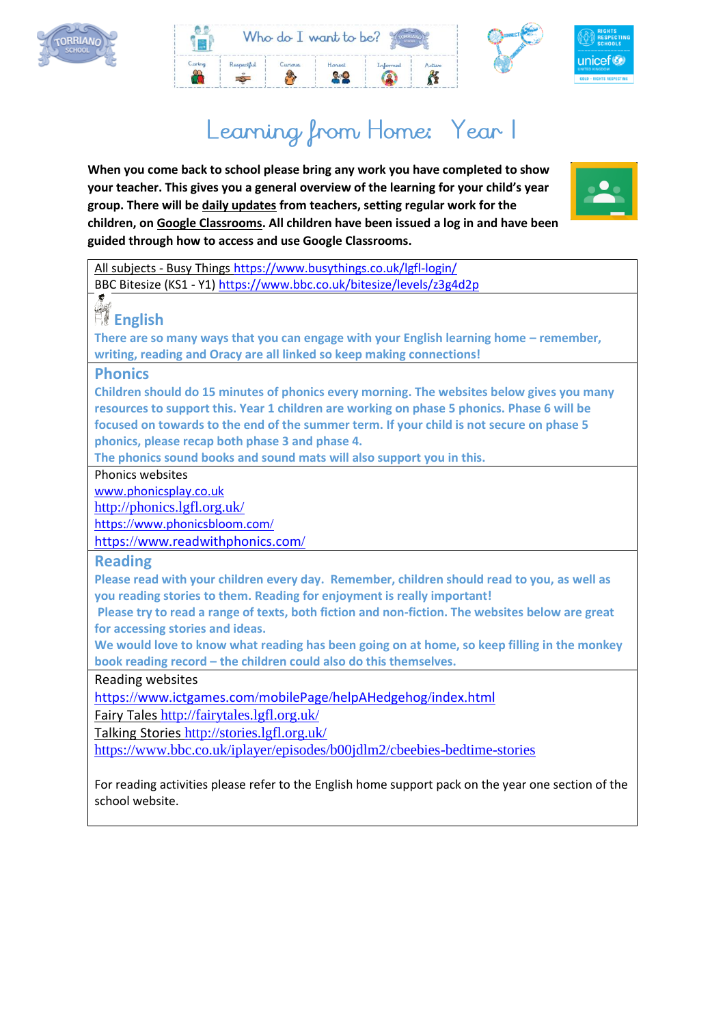



# Learning from Home: Year I

**When you come back to school please bring any work you have completed to show your teacher. This gives you a general overview of the learning for your child's year group. There will be daily updates from teachers, setting regular work for the children, on Google Classrooms. All children have been issued a log in and have been guided through how to access and use Google Classrooms.**



All subjects - Busy Things <https://www.busythings.co.uk/lgfl-login/> BBC Bitesize (KS1 - Y1[\) https://www.bbc.co.uk/bitesize/levels/z3g4d2p](https://www.bbc.co.uk/bitesize/levels/z3g4d2p) **English There are so many ways that you can engage with your English learning home – remember, writing, reading and Oracy are all linked so keep making connections! Phonics Children should do 15 minutes of phonics every morning. The websites below gives you many resources to support this. Year 1 children are working on phase 5 phonics. Phase 6 will be focused on towards to the end of the summer term. If your child is not secure on phase 5 phonics, please recap both phase 3 and phase 4. The phonics sound books and sound mats will also support you in this.**  Phonics websites www.[phonicsplay](http://www.phonicsplay.co.uk/).co.uk <http://phonics.lgfl.org.uk/> https://www.[phonicsbloom](https://www.phonicsbloom.com/).com/ https://www.[readwithphonics](https://www.readwithphonics.com/).com/ **Reading Please read with your children every day. Remember, children should read to you, as well as you reading stories to them. Reading for enjoyment is really important! Please try to read a range of texts, both fiction and non-fiction. The websites below are great for accessing stories and ideas. We would love to know what reading has been going on at home, so keep filling in the monkey book reading record – the children could also do this themselves.**  Reading websites https://www.ictgames.com/mobilePage/[helpAHedgehog](https://www.ictgames.com/mobilePage/helpAHedgehog/index.html)/index.html Fairy Tales <http://fairytales.lgfl.org.uk/> Talking Stories <http://stories.lgfl.org.uk/> <https://www.bbc.co.uk/iplayer/episodes/b00jdlm2/cbeebies-bedtime-stories>

For reading activities please refer to the English home support pack on the year one section of the school website.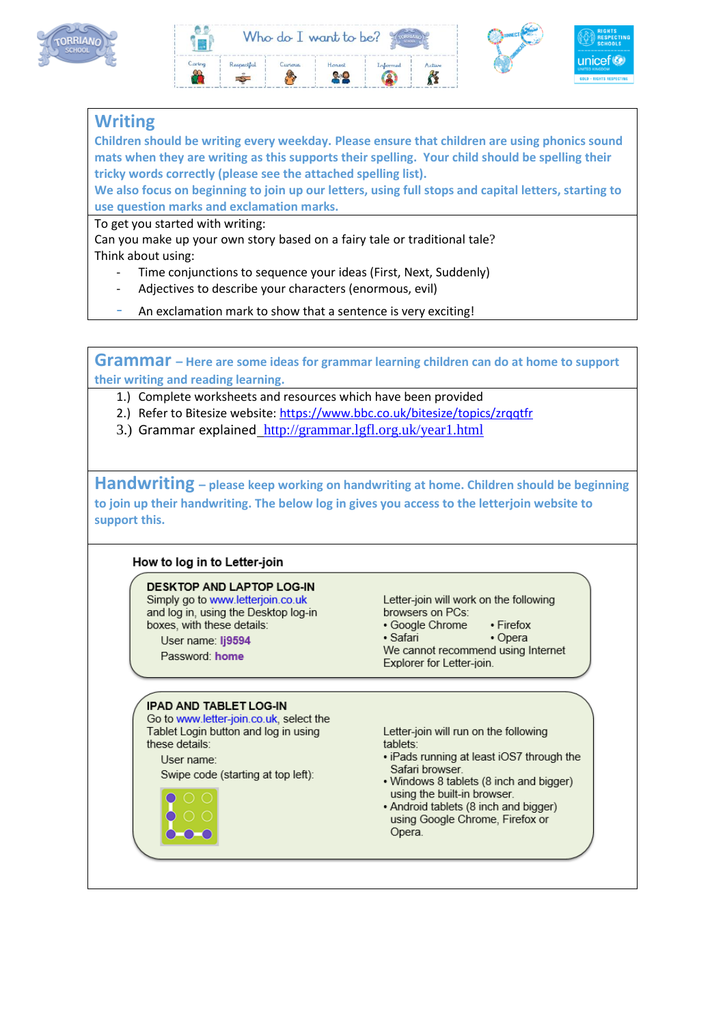





# **Writing**

**Children should be writing every weekday. Please ensure that children are using phonics sound mats when they are writing as this supports their spelling. Your child should be spelling their tricky words correctly (please see the attached spelling list).** 

**We also focus on beginning to join up our letters, using full stops and capital letters, starting to use question marks and exclamation marks.** 

To get you started with writing:

Can you make up your own story based on a fairy tale or traditional tale? Think about using:

- Time conjunctions to sequence your ideas (First, Next, Suddenly)
- Adjectives to describe your characters (enormous, evil)
- An exclamation mark to show that a sentence is very exciting!

**Grammar – Here are some ideas for grammar learning children can do at home to support their writing and reading learning.** 

- 1.) Complete worksheets and resources which have been provided
- 2.) Refer to Bitesize website[: https://www.bbc.co.uk/bitesize/topics/zrqqtfr](https://www.bbc.co.uk/bitesize/topics/zrqqtfr)
- 3.) Grammar explained <http://grammar.lgfl.org.uk/year1.html>

**Handwriting – please keep working on handwriting at home. Children should be beginning to join up their handwriting. The below log in gives you access to the letterjoin website to support this.**

#### How to log in to Letter-join

**DESKTOP AND LAPTOP LOG-IN** Simply go to www.letterjoin.co.uk and log in, using the Desktop log-in boxes, with these details:

User name: Ii9594 Password: home

Letter-join will work on the following browsers on PCs:

- Google Chrome • Firefox
- · Safari • Opera

We cannot recommend using Internet Explorer for Letter-join.

#### **IPAD AND TABLET LOG-IN**

Go to www.letter-join.co.uk, select the Tablet Login button and log in using these details:

User name:

Swipe code (starting at top left):



Letter-join will run on the following tablets:

- . iPads running at least iOS7 through the Safari browser.
- . Windows 8 tablets (8 inch and bigger) using the built-in browser.
- Android tablets (8 inch and bigger) using Google Chrome, Firefox or Opera.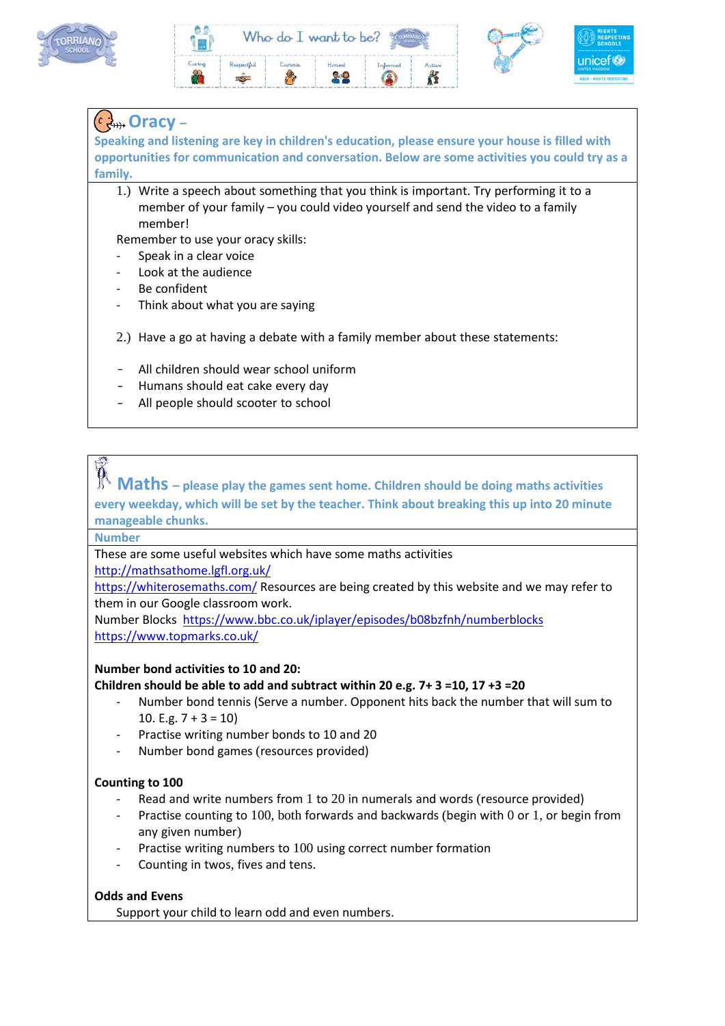





# **Oracy –**

**Speaking and listening are key in children's education, please ensure your house is filled with opportunities for communication and conversation. Below are some activities you could try as a family.**

1.) Write a speech about something that you think is important. Try performing it to a member of your family – you could video yourself and send the video to a family member!

Remember to use your oracy skills:

- Speak in a clear voice
- Look at the audience
- Be confident
- Think about what you are saying
- 2.) Have a go at having a debate with a family member about these statements:
- All children should wear school uniform
- Humans should eat cake every day
- All people should scooter to school

# **Maths – please play the games sent home. Children should be doing maths activities every weekday, which will be set by the teacher. Think about breaking this up into 20 minute manageable chunks.**

**Number**

These are some useful websites which have some maths activities <http://mathsathome.lgfl.org.uk/>

<https://whiterosemaths.com/> Resources are being created by this website and we may refer to them in our Google classroom work.

Number Blocks <https://www.bbc.co.uk/iplayer/episodes/b08bzfnh/numberblocks> <https://www.topmarks.co.uk/>

### **Number bond activities to 10 and 20:**

### **Children should be able to add and subtract within 20 e.g. 7+ 3 =10, 17 +3 =20**

- Number bond tennis (Serve a number. Opponent hits back the number that will sum to 10. E.g.  $7 + 3 = 10$
- Practise writing number bonds to 10 and 20
- Number bond games (resources provided)

### **Counting to 100**

- Read and write numbers from 1 to 20 in numerals and words (resource provided)
- Practise counting to 100, both forwards and backwards (begin with 0 or 1, or begin from any given number)
- Practise writing numbers to 100 using correct number formation
- Counting in twos, fives and tens.

### **Odds and Evens**

Support your child to learn odd and even numbers.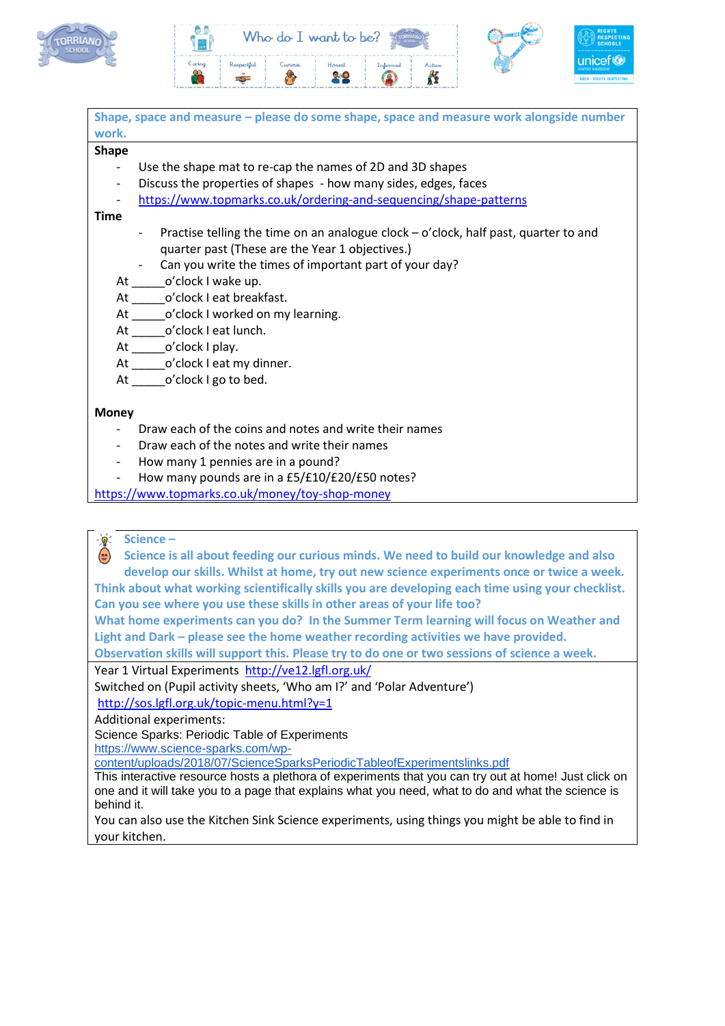



| Shape, space and measure - please do some shape, space and measure work alongside number      |
|-----------------------------------------------------------------------------------------------|
| work.                                                                                         |
| <b>Shape</b>                                                                                  |
| Use the shape mat to re-cap the names of 2D and 3D shapes                                     |
| Discuss the properties of shapes - how many sides, edges, faces<br>$\overline{\phantom{a}}$   |
| https://www.topmarks.co.uk/ordering-and-sequencing/shape-patterns<br>$\overline{\phantom{a}}$ |
| <b>Time</b>                                                                                   |
| Practise telling the time on an analogue clock – o'clock, half past, quarter to and<br>$\sim$ |
| quarter past (These are the Year 1 objectives.)                                               |
| - Can you write the times of important part of your day?                                      |
| At ________o'clock I wake up.                                                                 |
| At ________ o'clock I eat breakfast.                                                          |
| At _______o'clock I worked on my learning.                                                    |
| At o'clock I eat lunch.                                                                       |
| At ________o'clock I play.                                                                    |
| At ________o'clock I eat my dinner.                                                           |
| At o'clock I go to bed.                                                                       |
|                                                                                               |
| <b>Money</b>                                                                                  |
| Draw each of the coins and notes and write their names                                        |
| Draw each of the notes and write their names<br>$\overline{\phantom{0}}$                      |
| How many 1 pennies are in a pound?<br>$\overline{\phantom{a}}$                                |
| How many pounds are in a £5/£10/£20/£50 notes?<br>$\overline{\phantom{a}}$                    |
| https://www.topmarks.co.uk/money/toy-shop-money                                               |

#### **Science –**  $-\hat{\mathbf{Q}}$

**Science is all about feeding our curious minds. We need to build our knowledge and also develop our skills. Whilst at home, try out new science experiments once or twice a week. Think about what working scientifically skills you are developing each time using your checklist.** 

**Can you see where you use these skills in other areas of your life too?** 

**What home experiments can you do? In the Summer Term learning will focus on Weather and Light and Dark – please see the home weather recording activities we have provided.**

**Observation skills will support this. Please try to do one or two sessions of science a week.** 

Year 1 Virtual Experiments <http://ve12.lgfl.org.uk/>

Switched on (Pupil activity sheets, 'Who am I?' and 'Polar Adventure')

<http://sos.lgfl.org.uk/topic-menu.html?y=1>

Additional experiments:

Science Sparks: Periodic Table of Experiments

[https://www.science-sparks.com/wp-](https://www.science-sparks.com/wp-content/uploads/2018/07/ScienceSparksPeriodicTableofExperimentslinks.pdf)

[content/uploads/2018/07/ScienceSparksPeriodicTableofExperimentslinks.pdf](https://www.science-sparks.com/wp-content/uploads/2018/07/ScienceSparksPeriodicTableofExperimentslinks.pdf)

This interactive resource hosts a plethora of experiments that you can try out at home! Just click on one and it will take you to a page that explains what you need, what to do and what the science is behind it.

You can also use the Kitchen Sink Science experiments, using things you might be able to find in your kitchen.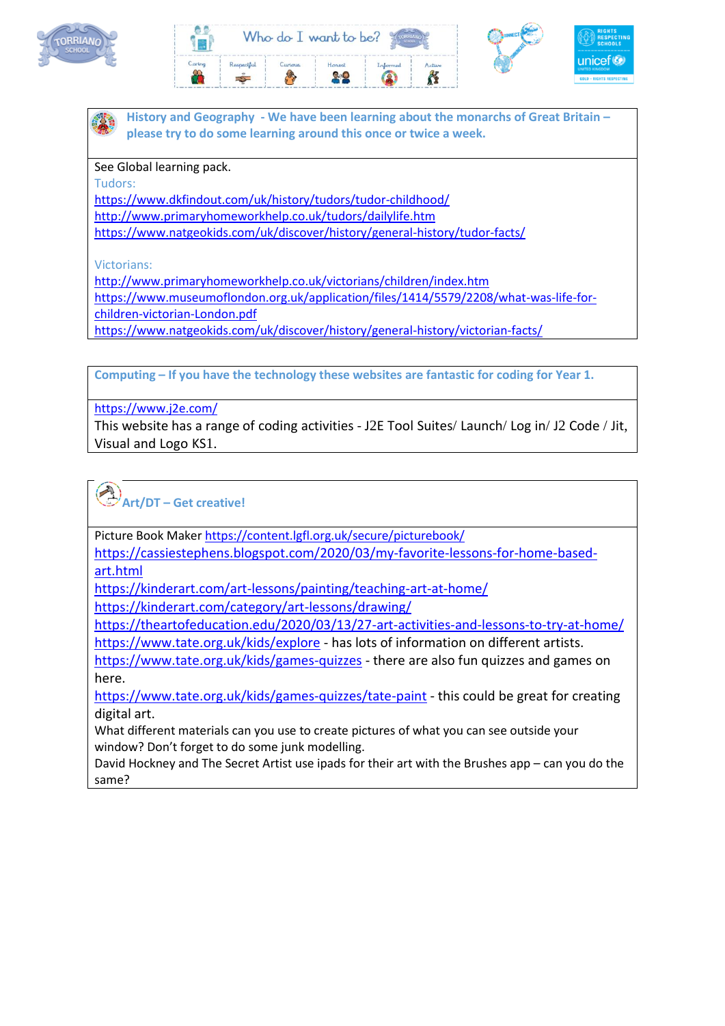





**History and Geography - We have been learning about the monarchs of Great Britain – please try to do some learning around this once or twice a week.** 

See Global learning pack.

Tudors:

<https://www.dkfindout.com/uk/history/tudors/tudor-childhood/>

<http://www.primaryhomeworkhelp.co.uk/tudors/dailylife.htm>

<https://www.natgeokids.com/uk/discover/history/general-history/tudor-facts/>

Victorians:

<http://www.primaryhomeworkhelp.co.uk/victorians/children/index.htm> [https://www.museumoflondon.org.uk/application/files/1414/5579/2208/what-was-life-for](https://www.museumoflondon.org.uk/application/files/1414/5579/2208/what-was-life-for-children-victorian-London.pdf)[children-victorian-London.pdf](https://www.museumoflondon.org.uk/application/files/1414/5579/2208/what-was-life-for-children-victorian-London.pdf)

<https://www.natgeokids.com/uk/discover/history/general-history/victorian-facts/>

**Computing – If you have the technology these websites are fantastic for coding for Year 1.**

<https://www.j2e.com/>

This website has a range of coding activities - J2E Tool Suites/ Launch/ Log in/ J2 Code / Jit, Visual and Logo KS1.

**Art/DT – Get creative!** 

Picture Book Maker<https://content.lgfl.org.uk/secure/picturebook/>

[https://cassiestephens.blogspot.com/2020/03/my-favorite-lessons-for-home-based](https://cassiestephens.blogspot.com/2020/03/my-favorite-lessons-for-home-based-art.html)[art.html](https://cassiestephens.blogspot.com/2020/03/my-favorite-lessons-for-home-based-art.html)

<https://kinderart.com/art-lessons/painting/teaching-art-at-home/>

<https://kinderart.com/category/art-lessons/drawing/>

<https://theartofeducation.edu/2020/03/13/27-art-activities-and-lessons-to-try-at-home/>

<https://www.tate.org.uk/kids/explore> - has lots of information on different artists.

<https://www.tate.org.uk/kids/games-quizzes> - there are also fun quizzes and games on here.

<https://www.tate.org.uk/kids/games-quizzes/tate-paint> - this could be great for creating digital art.

What different materials can you use to create pictures of what you can see outside your window? Don't forget to do some junk modelling.

David Hockney and The Secret Artist use ipads for their art with the Brushes app – can you do the same?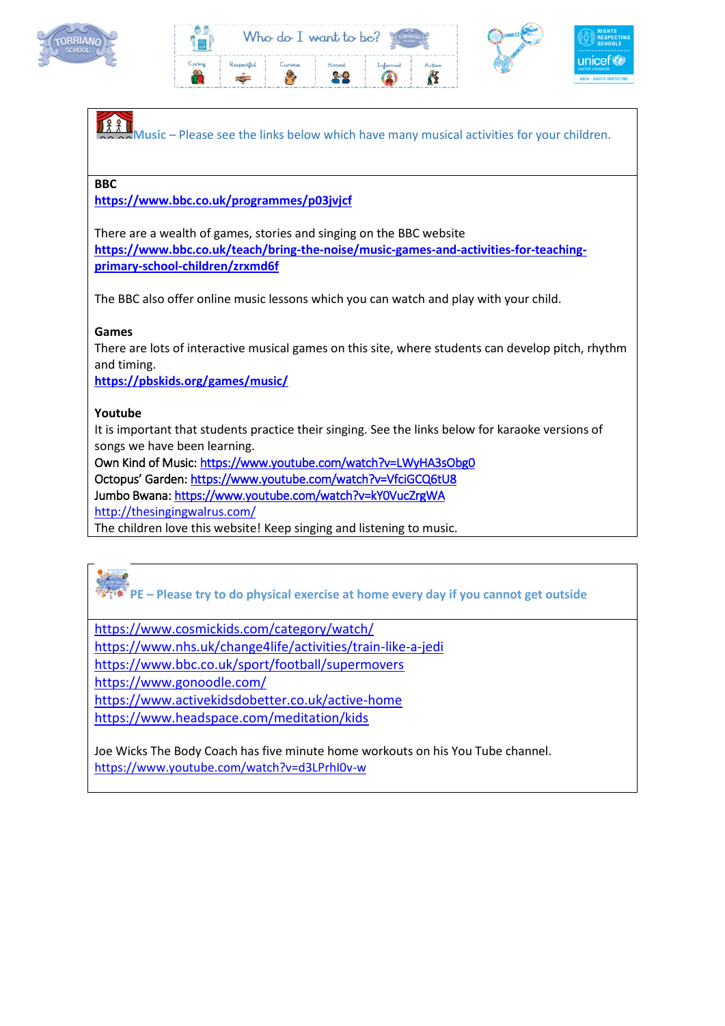







**PE – Please try to do physical exercise at home every day if you cannot get outside**

<https://www.cosmickids.com/category/watch/>

<https://www.nhs.uk/change4life/activities/train-like-a-jedi>

<https://www.bbc.co.uk/sport/football/supermovers>

<https://www.gonoodle.com/>

<https://www.activekidsdobetter.co.uk/active-home> <https://www.headspace.com/meditation/kids>

Joe Wicks The Body Coach has five minute home workouts on his You Tube channel. <https://www.youtube.com/watch?v=d3LPrhI0v-w>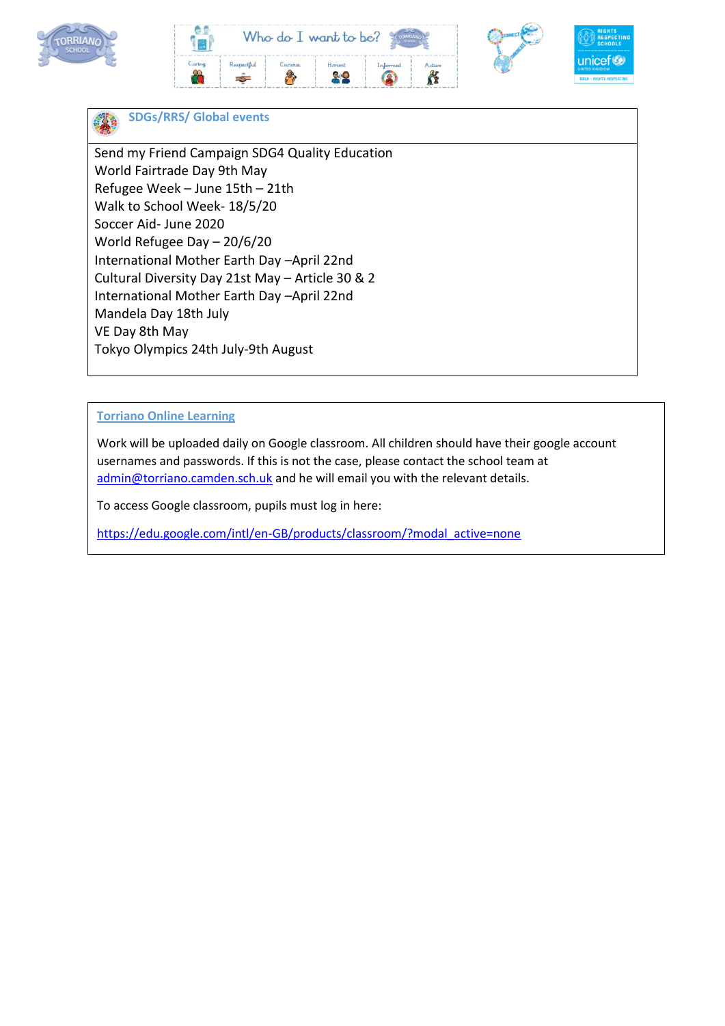







### **SDGs/RRS/ Global events**

Send my Friend Campaign SDG4 Quality Education World Fairtrade Day 9th May Refugee Week – June 15th – 21th Walk to School Week- 18/5/20 Soccer Aid- June 2020 World Refugee Day – 20/6/20 International Mother Earth Day –April 22nd Cultural Diversity Day 21st May – Article 30 & 2 International Mother Earth Day –April 22nd Mandela Day 18th July VE Day 8th May Tokyo Olympics 24th July-9th August

### **Torriano Online Learning**

Work will be uploaded daily on Google classroom. All children should have their google account usernames and passwords. If this is not the case, please contact the school team at [admin@torriano.camden.sch.uk](mailto:%20admin@torriano.camden.sch.uk) and he will email you with the relevant details.

To access Google classroom, pupils must log in here:

[https://edu.google.com/intl/en-GB/products/classroom/?modal\\_active=none](https://edu.google.com/intl/en-GB/products/classroom/?modal_active=none)